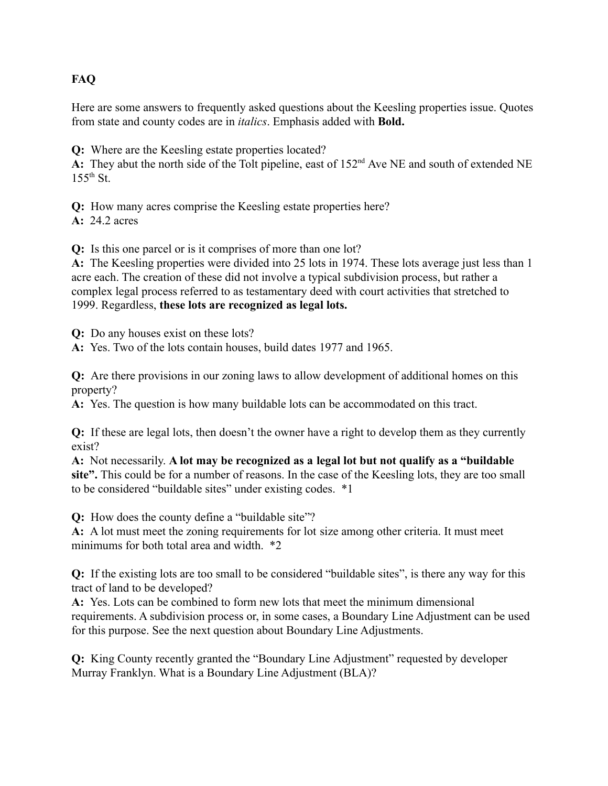# **FAQ**

Here are some answers to frequently asked questions about the Keesling properties issue. Quotes from state and county codes are in *italics*. Emphasis added with **Bold.**

**Q:** Where are the Keesling estate properties located?

A: They abut the north side of the Tolt pipeline, east of 152<sup>nd</sup> Ave NE and south of extended NE  $155^{th}$  St.

**Q:** How many acres comprise the Keesling estate properties here?

**A:** 24.2 acres

**Q:** Is this one parcel or is it comprises of more than one lot?

**A:** The Keesling properties were divided into 25 lots in 1974. These lots average just less than 1 acre each. The creation of these did not involve a typical subdivision process, but rather a complex legal process referred to as testamentary deed with court activities that stretched to 1999. Regardless, **these lots are recognized as legal lots.**

**Q:** Do any houses exist on these lots?

**A:** Yes. Two of the lots contain houses, build dates 1977 and 1965.

**Q:** Are there provisions in our zoning laws to allow development of additional homes on this property?

**A:** Yes. The question is how many buildable lots can be accommodated on this tract.

**Q:** If these are legal lots, then doesn't the owner have a right to develop them as they currently exist?

**A:** Not necessarily. **A lot may be recognized as a legal lot but not qualify as a "buildable site".** This could be for a number of reasons. In the case of the Keesling lots, they are too small to be considered "buildable sites" under existing codes. \*1

**Q:** How does the county define a "buildable site"?

**A:** A lot must meet the zoning requirements for lot size among other criteria. It must meet minimums for both total area and width  $*2$ 

**Q:** If the existing lots are too small to be considered "buildable sites", is there any way for this tract of land to be developed?

**A:** Yes. Lots can be combined to form new lots that meet the minimum dimensional requirements. A subdivision process or, in some cases, a Boundary Line Adjustment can be used for this purpose. See the next question about Boundary Line Adjustments.

**Q:** King County recently granted the "Boundary Line Adjustment" requested by developer Murray Franklyn. What is a Boundary Line Adjustment (BLA)?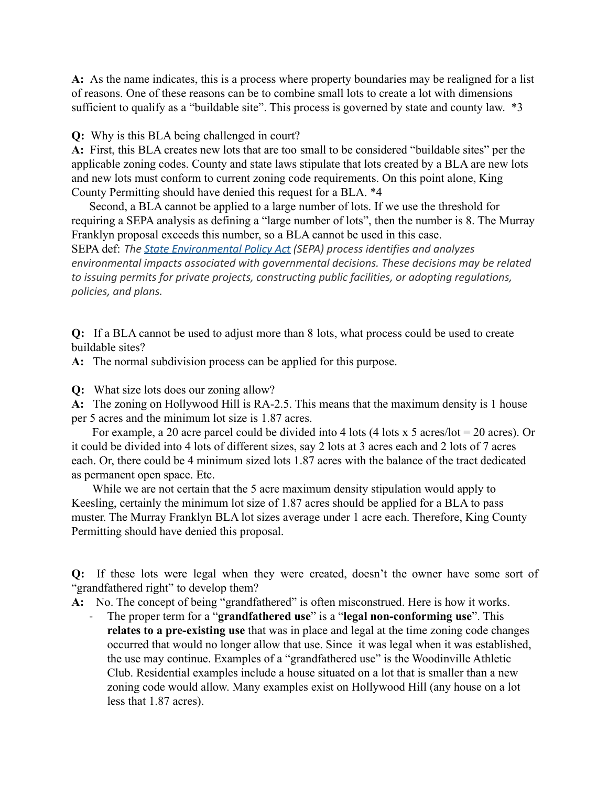**A:** As the name indicates, this is a process where property boundaries may be realigned for a list of reasons. One of these reasons can be to combine small lots to create a lot with dimensions sufficient to qualify as a "buildable site". This process is governed by state and county law.  $*3$ 

**Q:** Why is this BLA being challenged in court?

**A:** First, this BLA creates new lots that are too small to be considered "buildable sites" per the applicable zoning codes. County and state laws stipulate that lots created by a BLA are new lots and new lots must conform to current zoning code requirements. On this point alone, King County Permitting should have denied this request for a BLA. \*4

Second, a BLA cannot be applied to a large number of lots. If we use the threshold for requiring a SEPA analysis as defining a "large number of lots", then the number is 8. The Murray Franklyn proposal exceeds this number, so a BLA cannot be used in this case. SEPA def: *The [State Environmental Policy Act](http://app.leg.wa.gov/rcw/default.aspx?cite=43.21C) (SEPA) process identifies and analyzes environmental impacts associated with governmental decisions. These decisions may be related to issuing permits for private projects, constructing public facilities, or adopting regulations, policies, and plans.*

**Q:** If a BLA cannot be used to adjust more than 8 lots, what process could be used to create buildable sites?

**A:** The normal subdivision process can be applied for this purpose.

**Q:** What size lots does our zoning allow?

**A:** The zoning on Hollywood Hill is RA-2.5. This means that the maximum density is 1 house per 5 acres and the minimum lot size is 1.87 acres.

For example, a 20 acre parcel could be divided into 4 lots (4 lots x 5 acres/lot = 20 acres). Or it could be divided into 4 lots of different sizes, say 2 lots at 3 acres each and 2 lots of 7 acres each. Or, there could be 4 minimum sized lots 1.87 acres with the balance of the tract dedicated as permanent open space. Etc.

While we are not certain that the 5 acre maximum density stipulation would apply to Keesling, certainly the minimum lot size of 1.87 acres should be applied for a BLA to pass muster. The Murray Franklyn BLA lot sizes average under 1 acre each. Therefore, King County Permitting should have denied this proposal.

**Q:** If these lots were legal when they were created, doesn't the owner have some sort of "grandfathered right" to develop them?

**A:** No. The concept of being "grandfathered" is often misconstrued. Here is how it works.

- The proper term for a "**grandfathered use**" is a "**legal non-conforming use**". This **relates to a pre-existing use** that was in place and legal at the time zoning code changes occurred that would no longer allow that use. Since it was legal when it was established, the use may continue. Examples of a "grandfathered use" is the Woodinville Athletic Club. Residential examples include a house situated on a lot that is smaller than a new zoning code would allow. Many examples exist on Hollywood Hill (any house on a lot less that 1.87 acres).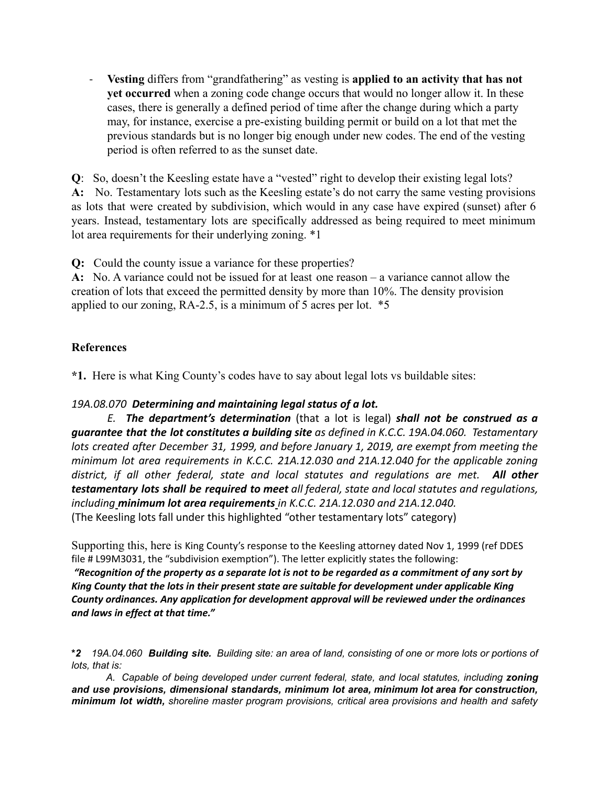- **Vesting** differs from "grandfathering" as vesting is **applied to an activity that has not yet occurred** when a zoning code change occurs that would no longer allow it. In these cases, there is generally a defined period of time after the change during which a party may, for instance, exercise a pre-existing building permit or build on a lot that met the previous standards but is no longer big enough under new codes. The end of the vesting period is often referred to as the sunset date.

**Q**: So, doesn't the Keesling estate have a "vested" right to develop their existing legal lots? **A:** No. Testamentary lots such as the Keesling estate's do not carry the same vesting provisions as lots that were created by subdivision, which would in any case have expired (sunset) after 6 years. Instead, testamentary lots are specifically addressed as being required to meet minimum lot area requirements for their underlying zoning. \*1

**Q:** Could the county issue a variance for these properties?

**A:** No. A variance could not be issued for at least one reason – a variance cannot allow the creation of lots that exceed the permitted density by more than 10%. The density provision applied to our zoning, RA-2.5, is a minimum of 5 acres per lot. \*5

### **References**

**\*1.** Here is what King County's codes have to say about legal lots vs buildable sites:

#### *19A.08.070 Determining and maintaining legal status of a lot.*

*E. The department's determination* (that a lot is legal) *shall not be construed as a guarantee that the lot constitutes a building site as defined in K.C.C. 19A.04.060. Testamentary lots created after December 31, 1999, and before January 1, 2019, are exempt from meeting the minimum lot area requirements in K.C.C. 21A.12.030 and 21A.12.040 for the applicable zoning district, if all other federal, state and local statutes and regulations are met. All other testamentary lots shall be required to meet all federal, state and local statutes and regulations, including minimum lot area requirements in K.C.C. 21A.12.030 and 21A.12.040.* (The Keesling lots fall under this highlighted "other testamentary lots" category)

Supporting this, here is King County's response to the Keesling attorney dated Nov 1, 1999 (ref DDES file # L99M3031, the "subdivision exemption"). The letter explicitly states the following:

"Recognition of the property as a separate lot is not to be regarded as a commitment of any sort by *King County that the lots in their present state are suitable for development under applicable King County ordinances. Any application for development approval will be reviewed under the ordinances and laws in effect at that time."*

*A. Capable of being developed under current federal, state, and local statutes, including zoning and use provisions, dimensional standards, minimum lot area, minimum lot area for construction, minimum lot width, shoreline master program provisions, critical area provisions and health and safety*

<sup>\*2 19</sup>A.04.060 Building site. Building site: an area of land, consisting of one or more lots or portions of *lots, that is:*